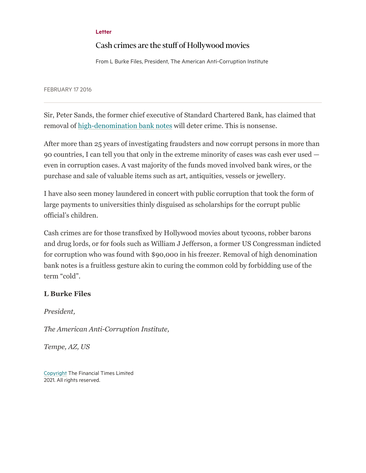## [Letter](https://www.ft.com/letters)

## Cash crimes are the stuff of Hollywood movies

From L Burke Files, President, The American Anti-Corruption Institute

FEBRUARY 17 2016

Sir, Peter Sands, the former chief executive of Standard Chartered Bank, has claimed that removal of [high-denomination bank notes](https://www.ft.com/content/ae995132-cd52-11e5-986a-62c79fcbcead) will deter crime. This is nonsense.

After more than 25 years of investigating fraudsters and now corrupt persons in more than 90 countries, I can tell you that only in the extreme minority of cases was cash ever used even in corruption cases. A vast majority of the funds moved involved bank wires, or the purchase and sale of valuable items such as art, antiquities, vessels or jewellery.

I have also seen money laundered in concert with public corruption that took the form of large payments to universities thinly disguised as scholarships for the corrupt public official's children.

Cash crimes are for those transfixed by Hollywood movies about tycoons, robber barons and drug lords, or for fools such as William J Jefferson, a former US Congressman indicted for corruption who was found with \$90,000 in his freezer. Removal of high denomination bank notes is a fruitless gesture akin to curing the common cold by forbidding use of the term "cold".

## **L Burke Files**

*President,*

*The American Anti-Corruption Institute,*

*Tempe, AZ, US*

[Copyright](http://help.ft.com/help/legal-privacy/copyright/copyright-policy/) The Financial Times Limited 2021. All rights reserved.